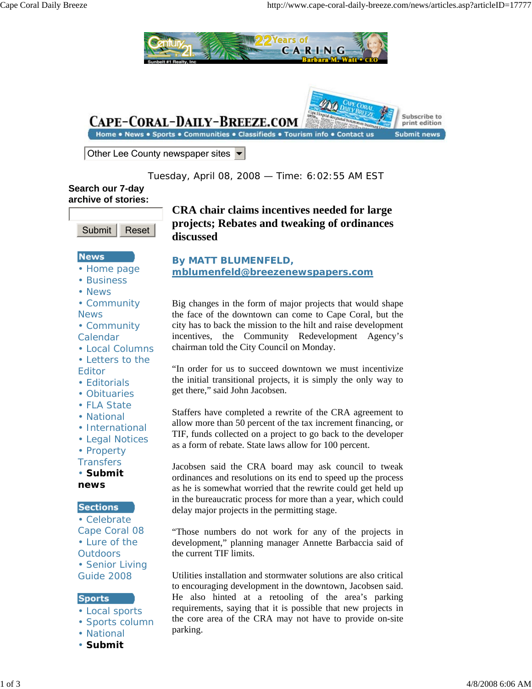

Tuesday, April 08, 2008 — Time: 6:02:55 AM EST

# **Search our 7-day archive of stories:**



## **News**

- Home page
- Business
- News
- Community **News**
- Community
- Calendar
- Local Columns
- Letters to the
- Editor
- Editorials
- Obituaries
- FLA State
- National
- International
- Legal Notices
- Property
- **Transfers**

• **Submit news**

## **Sections**

• Celebrate Cape Coral 08 • Lure of the **Outdoors** • Senior Living

Guide 2008

## **Sports**

- Local sports
- Sports column
- National
- **Submit**

# **CRA chair claims incentives needed for large projects; Rebates and tweaking of ordinances discussed**

## **By MATT BLUMENFELD, mblumenfeld@breezenewspapers.com**

Big changes in the form of major projects that would shape the face of the downtown can come to Cape Coral, but the city has to back the mission to the hilt and raise development incentives, the Community Redevelopment Agency's chairman told the City Council on Monday.

"In order for us to succeed downtown we must incentivize the initial transitional projects, it is simply the only way to get there," said John Jacobsen.

Staffers have completed a rewrite of the CRA agreement to allow more than 50 percent of the tax increment financing, or TIF, funds collected on a project to go back to the developer as a form of rebate. State laws allow for 100 percent.

Jacobsen said the CRA board may ask council to tweak ordinances and resolutions on its end to speed up the process as he is somewhat worried that the rewrite could get held up in the bureaucratic process for more than a year, which could delay major projects in the permitting stage.

"Those numbers do not work for any of the projects in development," planning manager Annette Barbaccia said of the current TIF limits.

Utilities installation and stormwater solutions are also critical to encouraging development in the downtown, Jacobsen said. He also hinted at a retooling of the area's parking requirements, saying that it is possible that new projects in the core area of the CRA may not have to provide on-site parking.